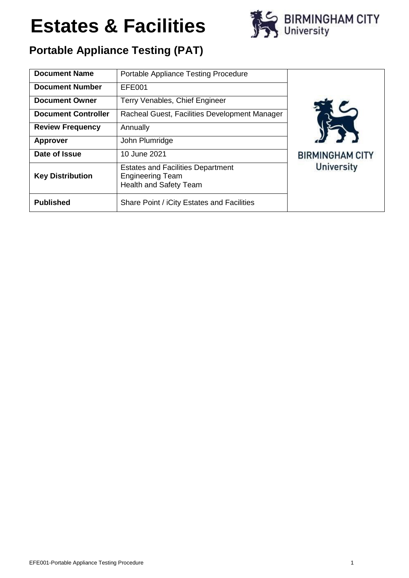

### **Portable Appliance Testing (PAT)**

| <b>Document Name</b>       | <b>Portable Appliance Testing Procedure</b>                                                          |                                             |  |
|----------------------------|------------------------------------------------------------------------------------------------------|---------------------------------------------|--|
| <b>Document Number</b>     | EFE001                                                                                               |                                             |  |
| <b>Document Owner</b>      | Terry Venables, Chief Engineer                                                                       |                                             |  |
| <b>Document Controller</b> | Racheal Guest, Facilities Development Manager                                                        |                                             |  |
| <b>Review Frequency</b>    | Annually                                                                                             |                                             |  |
| <b>Approver</b>            | John Plumridge                                                                                       |                                             |  |
| Date of Issue              | 10 June 2021                                                                                         | <b>BIRMINGHAM CITY</b><br><b>University</b> |  |
| <b>Key Distribution</b>    | <b>Estates and Facilities Department</b><br><b>Engineering Team</b><br><b>Health and Safety Team</b> |                                             |  |
| <b>Published</b>           | Share Point / iCity Estates and Facilities                                                           |                                             |  |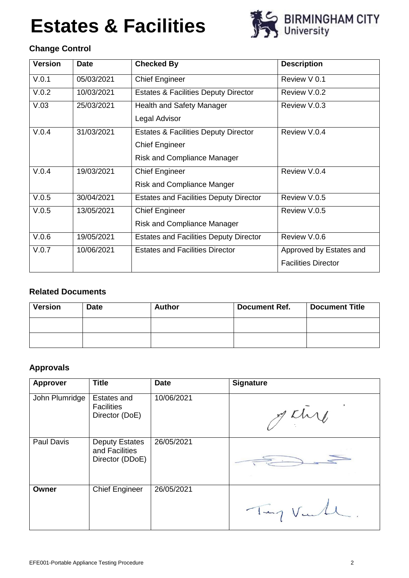

### **Change Control**

| <b>Version</b> | <b>Date</b> | <b>Checked By</b>                               | <b>Description</b>         |
|----------------|-------------|-------------------------------------------------|----------------------------|
| V.0.1          | 05/03/2021  | <b>Chief Engineer</b>                           | Review V 0.1               |
| V.0.2          | 10/03/2021  | <b>Estates &amp; Facilities Deputy Director</b> | Review V.0.2               |
| V.03           | 25/03/2021  | Health and Safety Manager                       | Review V.0.3               |
|                |             | Legal Advisor                                   |                            |
| V.0.4          | 31/03/2021  | <b>Estates &amp; Facilities Deputy Director</b> | Review V.0.4               |
|                |             | <b>Chief Engineer</b>                           |                            |
|                |             | <b>Risk and Compliance Manager</b>              |                            |
| V.0.4          | 19/03/2021  | <b>Chief Engineer</b>                           | Review V.0.4               |
|                |             | <b>Risk and Compliance Manger</b>               |                            |
| V.0.5          | 30/04/2021  | <b>Estates and Facilities Deputy Director</b>   | Review V.0.5               |
| V.0.5          | 13/05/2021  | <b>Chief Engineer</b>                           | Review V.0.5               |
|                |             | <b>Risk and Compliance Manager</b>              |                            |
| V.0.6          | 19/05/2021  | <b>Estates and Facilities Deputy Director</b>   | Review V.0.6               |
| V.0.7          | 10/06/2021  | <b>Estates and Facilities Director</b>          | Approved by Estates and    |
|                |             |                                                 | <b>Facilities Director</b> |

### **Related Documents**

| Version | <b>Date</b> | Author | <b>Document Ref.</b> | <b>Document Title</b> |
|---------|-------------|--------|----------------------|-----------------------|
|         |             |        |                      |                       |
|         |             |        |                      |                       |

### **Approvals**

| <b>Approver</b> | <b>Title</b>                                               | <b>Date</b> | <b>Signature</b> |
|-----------------|------------------------------------------------------------|-------------|------------------|
| John Plumridge  | Estates and<br><b>Facilities</b><br>Director (DoE)         | 10/06/2021  | getire           |
| Paul Davis      | <b>Deputy Estates</b><br>and Facilities<br>Director (DDoE) | 26/05/2021  |                  |
| Owner           | <b>Chief Engineer</b>                                      | 26/05/2021  | Tay Val          |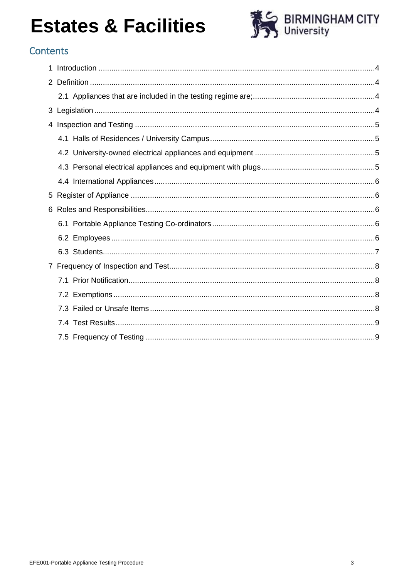

### Contents

| 4  |  |
|----|--|
|    |  |
|    |  |
|    |  |
|    |  |
| 5. |  |
| 6  |  |
|    |  |
|    |  |
|    |  |
|    |  |
|    |  |
|    |  |
|    |  |
|    |  |
|    |  |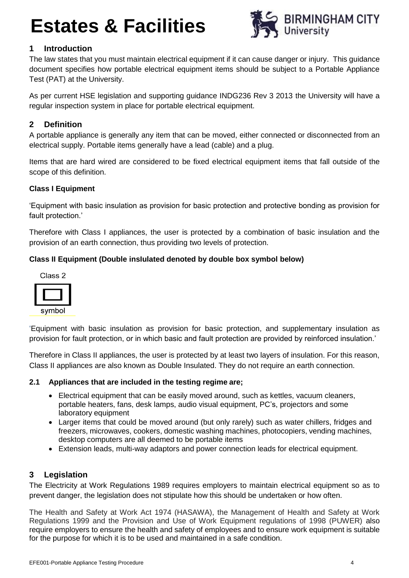

### <span id="page-3-0"></span>**1 Introduction**

The law states that you must maintain electrical equipment if it can cause danger or injury. This guidance document specifies how portable electrical equipment items should be subject to a Portable Appliance Test (PAT) at the University.

As per current HSE legislation and supporting guidance INDG236 Rev 3 2013 the University will have a regular inspection system in place for portable electrical equipment.

### <span id="page-3-1"></span>**2 Definition**

A portable appliance is generally any item that can be moved, either connected or disconnected from an electrical supply. Portable items generally have a lead (cable) and a plug.

Items that are hard wired are considered to be fixed electrical equipment items that fall outside of the scope of this definition.

#### **Class I Equipment**

'Equipment with basic insulation as provision for basic protection and protective bonding as provision for fault protection.'

Therefore with Class I appliances, the user is protected by a combination of basic insulation and the provision of an earth connection, thus providing two levels of protection.

#### **Class II Equipment (Double insIulated denoted by double box symbol below)**



symbol

'Equipment with basic insulation as provision for basic protection, and supplementary insulation as provision for fault protection, or in which basic and fault protection are provided by reinforced insulation.'

Therefore in Class II appliances, the user is protected by at least two layers of insulation. For this reason, Class II appliances are also known as Double Insulated. They do not require an earth connection.

#### <span id="page-3-2"></span>**2.1 Appliances that are included in the testing regime are;**

- Electrical equipment that can be easily moved around, such as kettles, vacuum cleaners, portable heaters, fans, desk lamps, audio visual equipment, PC's, projectors and some laboratory equipment
- Larger items that could be moved around (but only rarely) such as water chillers, fridges and freezers, microwaves, cookers, domestic washing machines, photocopiers, vending machines, desktop computers are all deemed to be portable items
- Extension leads, multi-way adaptors and power connection leads for electrical equipment.

### <span id="page-3-3"></span>**3 Legislation**

The Electricity at Work Regulations 1989 requires employers to maintain electrical equipment so as to prevent danger, the legislation does not stipulate how this should be undertaken or how often.

The Health and Safety at Work Act 1974 (HASAWA), the Management of Health and Safety at Work Regulations 1999 and the Provision and Use of Work Equipment regulations of 1998 (PUWER) also require employers to ensure the health and safety of employees and to ensure work equipment is suitable for the purpose for which it is to be used and maintained in a safe condition.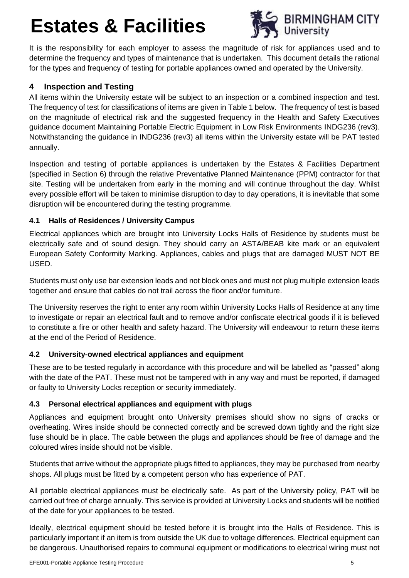

It is the responsibility for each employer to assess the magnitude of risk for appliances used and to determine the frequency and types of maintenance that is undertaken. This document details the rational for the types and frequency of testing for portable appliances owned and operated by the University.

### <span id="page-4-0"></span>**4 Inspection and Testing**

All items within the University estate will be subject to an inspection or a combined inspection and test. The frequency of test for classifications of items are given in Table 1 below. The frequency of test is based on the magnitude of electrical risk and the suggested frequency in the Health and Safety Executives guidance document Maintaining Portable Electric Equipment in Low Risk Environments INDG236 (rev3). Notwithstanding the guidance in INDG236 (rev3) all items within the University estate will be PAT tested annually.

Inspection and testing of portable appliances is undertaken by the Estates & Facilities Department (specified in Section 6) through the relative Preventative Planned Maintenance (PPM) contractor for that site. Testing will be undertaken from early in the morning and will continue throughout the day. Whilst every possible effort will be taken to minimise disruption to day to day operations, it is inevitable that some disruption will be encountered during the testing programme.

### <span id="page-4-1"></span>**4.1 Halls of Residences / University Campus**

Electrical appliances which are brought into University Locks Halls of Residence by students must be electrically safe and of sound design. They should carry an ASTA/BEAB kite mark or an equivalent European Safety Conformity Marking. Appliances, cables and plugs that are damaged MUST NOT BE USED.

Students must only use bar extension leads and not block ones and must not plug multiple extension leads together and ensure that cables do not trail across the floor and/or furniture.

The University reserves the right to enter any room within University Locks Halls of Residence at any time to investigate or repair an electrical fault and to remove and/or confiscate electrical goods if it is believed to constitute a fire or other health and safety hazard. The University will endeavour to return these items at the end of the Period of Residence.

### <span id="page-4-2"></span>**4.2 University-owned electrical appliances and equipment**

These are to be tested regularly in accordance with this procedure and will be labelled as "passed" along with the date of the PAT. These must not be tampered with in any way and must be reported, if damaged or faulty to University Locks reception or security immediately.

### <span id="page-4-3"></span>**4.3 Personal electrical appliances and equipment with plugs**

Appliances and equipment brought onto University premises should show no signs of cracks or overheating. Wires inside should be connected correctly and be screwed down tightly and the right size fuse should be in place. The cable between the plugs and appliances should be free of damage and the coloured wires inside should not be visible.

Students that arrive without the appropriate plugs fitted to appliances, they may be purchased from nearby shops. All plugs must be fitted by a competent person who has experience of PAT.

All portable electrical appliances must be electrically safe. As part of the University policy, PAT will be carried out free of charge annually. This service is provided at University Locks and students will be notified of the date for your appliances to be tested.

Ideally, electrical equipment should be tested before it is brought into the Halls of Residence. This is particularly important if an item is from outside the UK due to voltage differences. Electrical equipment can be dangerous. Unauthorised repairs to communal equipment or modifications to electrical wiring must not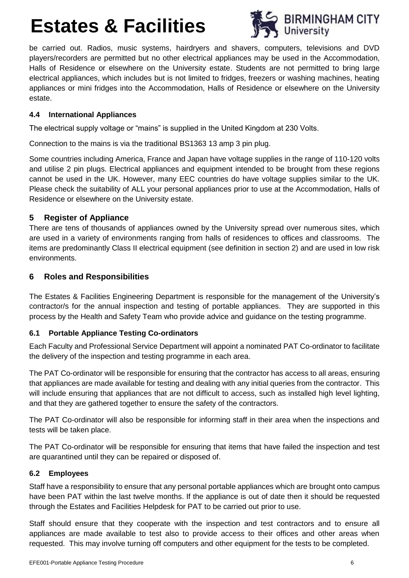

be carried out. Radios, music systems, hairdryers and shavers, computers, televisions and DVD players/recorders are permitted but no other electrical appliances may be used in the Accommodation, Halls of Residence or elsewhere on the University estate. Students are not permitted to bring large electrical appliances, which includes but is not limited to fridges, freezers or washing machines, heating appliances or mini fridges into the Accommodation, Halls of Residence or elsewhere on the University estate.

#### <span id="page-5-0"></span>**4.4 International Appliances**

The electrical supply voltage or "mains" is supplied in the United Kingdom at 230 Volts.

Connection to the mains is via the traditional BS1363 13 amp 3 pin plug.

Some countries including America, France and Japan have voltage supplies in the range of 110-120 volts and utilise 2 pin plugs. Electrical appliances and equipment intended to be brought from these regions cannot be used in the UK. However, many EEC countries do have voltage supplies similar to the UK. Please check the suitability of ALL your personal appliances prior to use at the Accommodation, Halls of Residence or elsewhere on the University estate.

### <span id="page-5-1"></span>**5 Register of Appliance**

There are tens of thousands of appliances owned by the University spread over numerous sites, which are used in a variety of environments ranging from halls of residences to offices and classrooms. The items are predominantly Class II electrical equipment (see definition in section 2) and are used in low risk environments.

### <span id="page-5-2"></span>**6 Roles and Responsibilities**

The Estates & Facilities Engineering Department is responsible for the management of the University's contractor/s for the annual inspection and testing of portable appliances. They are supported in this process by the Health and Safety Team who provide advice and guidance on the testing programme.

### <span id="page-5-3"></span>**6.1 Portable Appliance Testing Co-ordinators**

Each Faculty and Professional Service Department will appoint a nominated PAT Co-ordinator to facilitate the delivery of the inspection and testing programme in each area.

The PAT Co-ordinator will be responsible for ensuring that the contractor has access to all areas, ensuring that appliances are made available for testing and dealing with any initial queries from the contractor. This will include ensuring that appliances that are not difficult to access, such as installed high level lighting, and that they are gathered together to ensure the safety of the contractors.

The PAT Co-ordinator will also be responsible for informing staff in their area when the inspections and tests will be taken place.

The PAT Co-ordinator will be responsible for ensuring that items that have failed the inspection and test are quarantined until they can be repaired or disposed of.

### <span id="page-5-4"></span>**6.2 Employees**

Staff have a responsibility to ensure that any personal portable appliances which are brought onto campus have been PAT within the last twelve months. If the appliance is out of date then it should be requested through the Estates and Facilities Helpdesk for PAT to be carried out prior to use.

Staff should ensure that they cooperate with the inspection and test contractors and to ensure all appliances are made available to test also to provide access to their offices and other areas when requested. This may involve turning off computers and other equipment for the tests to be completed.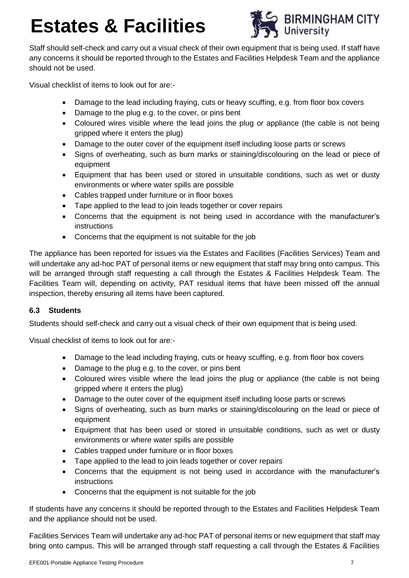

Staff should self-check and carry out a visual check of their own equipment that is being used. If staff have any concerns it should be reported through to the Estates and Facilities Helpdesk Team and the appliance should not be used.

Visual checklist of items to look out for are:-

- Damage to the lead including fraying, cuts or heavy scuffing, e.g. from floor box covers
- Damage to the plug e.g. to the cover, or pins bent
- Coloured wires visible where the lead joins the plug or appliance (the cable is not being gripped where it enters the plug)
- Damage to the outer cover of the equipment itself including loose parts or screws
- Signs of overheating, such as burn marks or staining/discolouring on the lead or piece of equipment
- Equipment that has been used or stored in unsuitable conditions, such as wet or dusty environments or where water spills are possible
- Cables trapped under furniture or in floor boxes
- Tape applied to the lead to join leads together or cover repairs
- Concerns that the equipment is not being used in accordance with the manufacturer's instructions
- Concerns that the equipment is not suitable for the job

The appliance has been reported for issues via the Estates and Facilities (Facilities Services) Team and will undertake any ad-hoc PAT of personal items or new equipment that staff may bring onto campus. This will be arranged through staff requesting a call through the Estates & Facilities Helpdesk Team. The Facilities Team will, depending on activity, PAT residual items that have been missed off the annual inspection, thereby ensuring all items have been captured.

### <span id="page-6-0"></span>**6.3 Students**

Students should self-check and carry out a visual check of their own equipment that is being used.

Visual checklist of items to look out for are:-

- Damage to the lead including fraying, cuts or heavy scuffing, e.g. from floor box covers
- Damage to the plug e.g. to the cover, or pins bent
- Coloured wires visible where the lead joins the plug or appliance (the cable is not being gripped where it enters the plug)
- Damage to the outer cover of the equipment itself including loose parts or screws
- Signs of overheating, such as burn marks or staining/discolouring on the lead or piece of equipment
- Equipment that has been used or stored in unsuitable conditions, such as wet or dusty environments or where water spills are possible
- Cables trapped under furniture or in floor boxes
- Tape applied to the lead to join leads together or cover repairs
- Concerns that the equipment is not being used in accordance with the manufacturer's instructions
- Concerns that the equipment is not suitable for the job

If students have any concerns it should be reported through to the Estates and Facilities Helpdesk Team and the appliance should not be used.

Facilities Services Team will undertake any ad-hoc PAT of personal items or new equipment that staff may bring onto campus. This will be arranged through staff requesting a call through the Estates & Facilities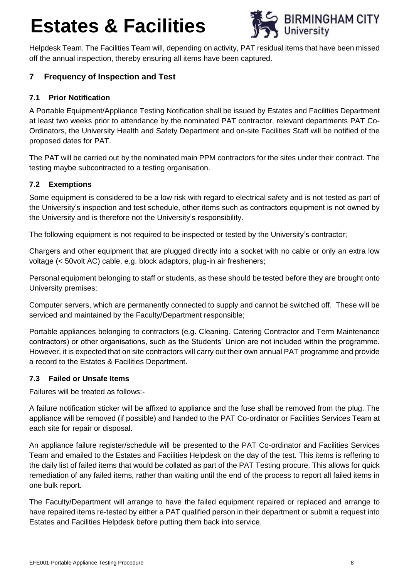

Helpdesk Team. The Facilities Team will, depending on activity, PAT residual items that have been missed off the annual inspection, thereby ensuring all items have been captured.

### <span id="page-7-0"></span>**7 Frequency of Inspection and Test**

### <span id="page-7-1"></span>**7.1 Prior Notification**

A Portable Equipment/Appliance Testing Notification shall be issued by Estates and Facilities Department at least two weeks prior to attendance by the nominated PAT contractor, relevant departments PAT Co-Ordinators, the University Health and Safety Department and on-site Facilities Staff will be notified of the proposed dates for PAT.

The PAT will be carried out by the nominated main PPM contractors for the sites under their contract. The testing maybe subcontracted to a testing organisation.

### <span id="page-7-2"></span>**7.2 Exemptions**

Some equipment is considered to be a low risk with regard to electrical safety and is not tested as part of the University's inspection and test schedule, other items such as contractors equipment is not owned by the University and is therefore not the University's responsibility.

The following equipment is not required to be inspected or tested by the University's contractor;

Chargers and other equipment that are plugged directly into a socket with no cable or only an extra low voltage (< 50volt AC) cable, e.g. block adaptors, plug-in air fresheners;

Personal equipment belonging to staff or students, as these should be tested before they are brought onto University premises;

Computer servers, which are permanently connected to supply and cannot be switched off. These will be serviced and maintained by the Faculty/Department responsible;

Portable appliances belonging to contractors (e.g. Cleaning, Catering Contractor and Term Maintenance contractors) or other organisations, such as the Students' Union are not included within the programme. However, it is expected that on site contractors will carry out their own annual PAT programme and provide a record to the Estates & Facilities Department.

### <span id="page-7-3"></span>**7.3 Failed or Unsafe Items**

Failures will be treated as follows:-

A failure notification sticker will be affixed to appliance and the fuse shall be removed from the plug. The appliance will be removed (if possible) and handed to the PAT Co-ordinator or Facilities Services Team at each site for repair or disposal.

An appliance failure register/schedule will be presented to the PAT Co-ordinator and Facilities Services Team and emailed to the Estates and Facilities Helpdesk on the day of the test. This items is reffering to the daily list of failed items that would be collated as part of the PAT Testing procure. This allows for quick remediation of any failed items, rather than waiting until the end of the process to report all failed items in one bulk report.

The Faculty/Department will arrange to have the failed equipment repaired or replaced and arrange to have repaired items re-tested by either a PAT qualified person in their department or submit a request into Estates and Facilities Helpdesk before putting them back into service.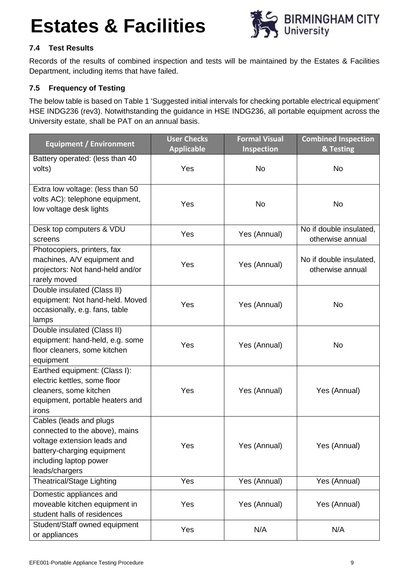

### <span id="page-8-0"></span>**7.4 Test Results**

Records of the results of combined inspection and tests will be maintained by the Estates & Facilities Department, including items that have failed.

### <span id="page-8-1"></span>**7.5 Frequency of Testing**

The below table is based on Table 1 'Suggested initial intervals for checking portable electrical equipment' HSE INDG236 (rev3). Notwithstanding the guidance in HSE INDG236, all portable equipment across the University estate, shall be PAT on an annual basis.

| <b>Equipment / Environment</b>                                                                                                                                     | <b>User Checks</b><br><b>Applicable</b> | <b>Formal Visual</b><br>Inspection | <b>Combined Inspection</b><br>& Testing     |
|--------------------------------------------------------------------------------------------------------------------------------------------------------------------|-----------------------------------------|------------------------------------|---------------------------------------------|
| Battery operated: (less than 40<br>volts)                                                                                                                          | Yes                                     | <b>No</b>                          | <b>No</b>                                   |
| Extra low voltage: (less than 50<br>volts AC): telephone equipment,<br>low voltage desk lights                                                                     | Yes                                     | <b>No</b>                          | <b>No</b>                                   |
| Desk top computers & VDU<br>screens                                                                                                                                | Yes                                     | Yes (Annual)                       | No if double insulated,<br>otherwise annual |
| Photocopiers, printers, fax<br>machines, A/V equipment and<br>projectors: Not hand-held and/or<br>rarely moved                                                     | Yes                                     | Yes (Annual)                       | No if double insulated,<br>otherwise annual |
| Double insulated (Class II)<br>equipment: Not hand-held. Moved<br>occasionally, e.g. fans, table<br>lamps                                                          | Yes                                     | Yes (Annual)                       | <b>No</b>                                   |
| Double insulated (Class II)<br>equipment: hand-held, e.g. some<br>floor cleaners, some kitchen<br>equipment                                                        | Yes                                     | Yes (Annual)                       | <b>No</b>                                   |
| Earthed equipment: (Class I):<br>electric kettles, some floor<br>cleaners, some kitchen<br>equipment, portable heaters and<br>irons                                | Yes                                     | Yes (Annual)                       | Yes (Annual)                                |
| Cables (leads and plugs<br>connected to the above), mains<br>voltage extension leads and<br>battery-charging equipment<br>including laptop power<br>leads/chargers | Yes                                     | Yes (Annual)                       | Yes (Annual)                                |
| <b>Theatrical/Stage Lighting</b>                                                                                                                                   | Yes                                     | Yes (Annual)                       | Yes (Annual)                                |
| Domestic appliances and<br>moveable kitchen equipment in<br>student halls of residences                                                                            | Yes                                     | Yes (Annual)                       | Yes (Annual)                                |
| Student/Staff owned equipment<br>or appliances                                                                                                                     | Yes                                     | N/A                                | N/A                                         |